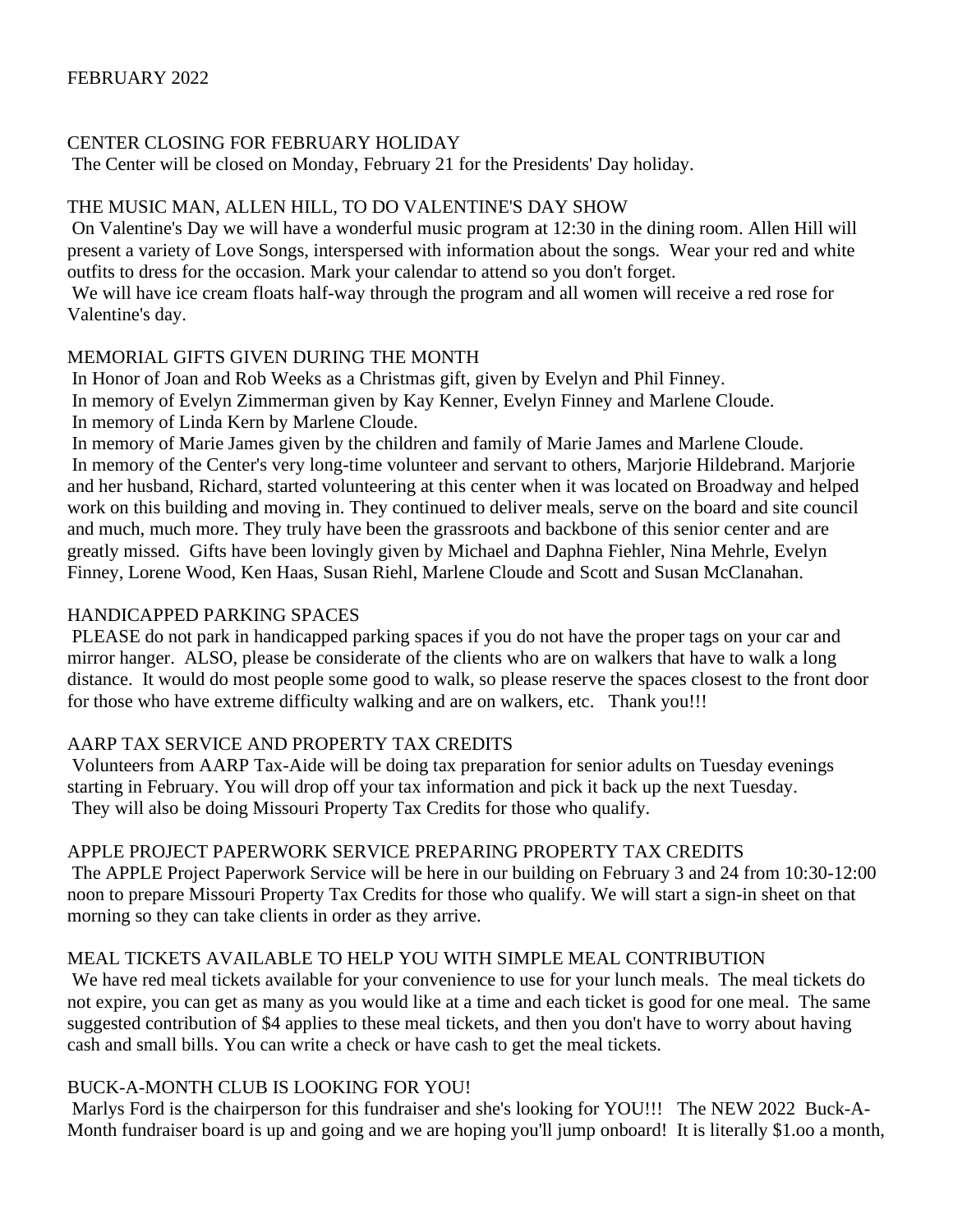#### CENTER CLOSING FOR FEBRUARY HOLIDAY

The Center will be closed on Monday, February 21 for the Presidents' Day holiday.

#### THE MUSIC MAN, ALLEN HILL, TO DO VALENTINE'S DAY SHOW

On Valentine's Day we will have a wonderful music program at 12:30 in the dining room. Allen Hill will present a variety of Love Songs, interspersed with information about the songs. Wear your red and white outfits to dress for the occasion. Mark your calendar to attend so you don't forget.

We will have ice cream floats half-way through the program and all women will receive a red rose for Valentine's day.

#### MEMORIAL GIFTS GIVEN DURING THE MONTH

In Honor of Joan and Rob Weeks as a Christmas gift, given by Evelyn and Phil Finney. In memory of Evelyn Zimmerman given by Kay Kenner, Evelyn Finney and Marlene Cloude. In memory of Linda Kern by Marlene Cloude.

In memory of Marie James given by the children and family of Marie James and Marlene Cloude. In memory of the Center's very long-time volunteer and servant to others, Marjorie Hildebrand. Marjorie and her husband, Richard, started volunteering at this center when it was located on Broadway and helped work on this building and moving in. They continued to deliver meals, serve on the board and site council and much, much more. They truly have been the grassroots and backbone of this senior center and are greatly missed. Gifts have been lovingly given by Michael and Daphna Fiehler, Nina Mehrle, Evelyn Finney, Lorene Wood, Ken Haas, Susan Riehl, Marlene Cloude and Scott and Susan McClanahan.

#### HANDICAPPED PARKING SPACES

PLEASE do not park in handicapped parking spaces if you do not have the proper tags on your car and mirror hanger. ALSO, please be considerate of the clients who are on walkers that have to walk a long distance. It would do most people some good to walk, so please reserve the spaces closest to the front door for those who have extreme difficulty walking and are on walkers, etc. Thank you!!!

## AARP TAX SERVICE AND PROPERTY TAX CREDITS

Volunteers from AARP Tax-Aide will be doing tax preparation for senior adults on Tuesday evenings starting in February. You will drop off your tax information and pick it back up the next Tuesday. They will also be doing Missouri Property Tax Credits for those who qualify.

## APPLE PROJECT PAPERWORK SERVICE PREPARING PROPERTY TAX CREDITS

The APPLE Project Paperwork Service will be here in our building on February 3 and 24 from 10:30-12:00 noon to prepare Missouri Property Tax Credits for those who qualify. We will start a sign-in sheet on that morning so they can take clients in order as they arrive.

## MEAL TICKETS AVAILABLE TO HELP YOU WITH SIMPLE MEAL CONTRIBUTION

We have red meal tickets available for your convenience to use for your lunch meals. The meal tickets do not expire, you can get as many as you would like at a time and each ticket is good for one meal. The same suggested contribution of \$4 applies to these meal tickets, and then you don't have to worry about having cash and small bills. You can write a check or have cash to get the meal tickets.

## BUCK-A-MONTH CLUB IS LOOKING FOR YOU!

Marlys Ford is the chairperson for this fundraiser and she's looking for YOU!!! The NEW 2022 Buck-A-Month fundraiser board is up and going and we are hoping you'll jump onboard! It is literally \$1.oo a month,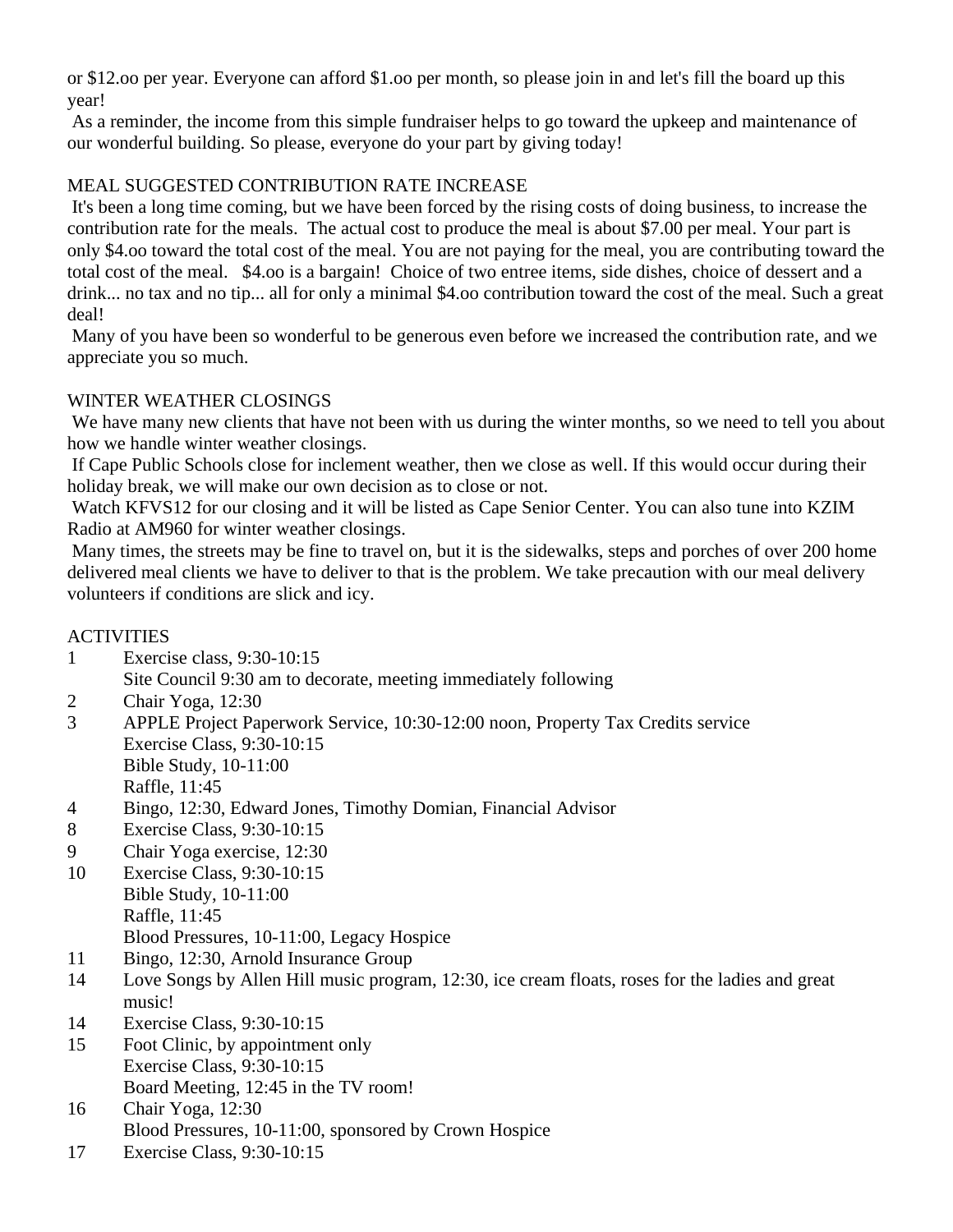or \$12.oo per year. Everyone can afford \$1.oo per month, so please join in and let's fill the board up this year!

As a reminder, the income from this simple fundraiser helps to go toward the upkeep and maintenance of our wonderful building. So please, everyone do your part by giving today!

# MEAL SUGGESTED CONTRIBUTION RATE INCREASE

It's been a long time coming, but we have been forced by the rising costs of doing business, to increase the contribution rate for the meals. The actual cost to produce the meal is about \$7.00 per meal. Your part is only \$4.oo toward the total cost of the meal. You are not paying for the meal, you are contributing toward the total cost of the meal. \$4.oo is a bargain! Choice of two entree items, side dishes, choice of dessert and a drink... no tax and no tip... all for only a minimal \$4.oo contribution toward the cost of the meal. Such a great deal!

Many of you have been so wonderful to be generous even before we increased the contribution rate, and we appreciate you so much.

# WINTER WEATHER CLOSINGS

We have many new clients that have not been with us during the winter months, so we need to tell you about how we handle winter weather closings.

If Cape Public Schools close for inclement weather, then we close as well. If this would occur during their holiday break, we will make our own decision as to close or not.

Watch KFVS12 for our closing and it will be listed as Cape Senior Center. You can also tune into KZIM Radio at AM960 for winter weather closings.

Many times, the streets may be fine to travel on, but it is the sidewalks, steps and porches of over 200 home delivered meal clients we have to deliver to that is the problem. We take precaution with our meal delivery volunteers if conditions are slick and icy.

## **ACTIVITIES**

- 1 Exercise class, 9:30-10:15
	- Site Council 9:30 am to decorate, meeting immediately following
- 2 Chair Yoga, 12:30
- 3 APPLE Project Paperwork Service, 10:30-12:00 noon, Property Tax Credits service Exercise Class, 9:30-10:15 Bible Study, 10-11:00 Raffle, 11:45
- 4 Bingo, 12:30, Edward Jones, Timothy Domian, Financial Advisor
- 8 Exercise Class, 9:30-10:15
- 9 Chair Yoga exercise, 12:30
- 10 Exercise Class, 9:30-10:15 Bible Study, 10-11:00 Raffle, 11:45 Blood Pressures, 10-11:00, Legacy Hospice
- 11 Bingo, 12:30, Arnold Insurance Group
- 14 Love Songs by Allen Hill music program, 12:30, ice cream floats, roses for the ladies and great music!
- 14 Exercise Class, 9:30-10:15
- 15 Foot Clinic, by appointment only Exercise Class, 9:30-10:15 Board Meeting, 12:45 in the TV room!
- 16 Chair Yoga, 12:30 Blood Pressures, 10-11:00, sponsored by Crown Hospice
- 17 Exercise Class, 9:30-10:15